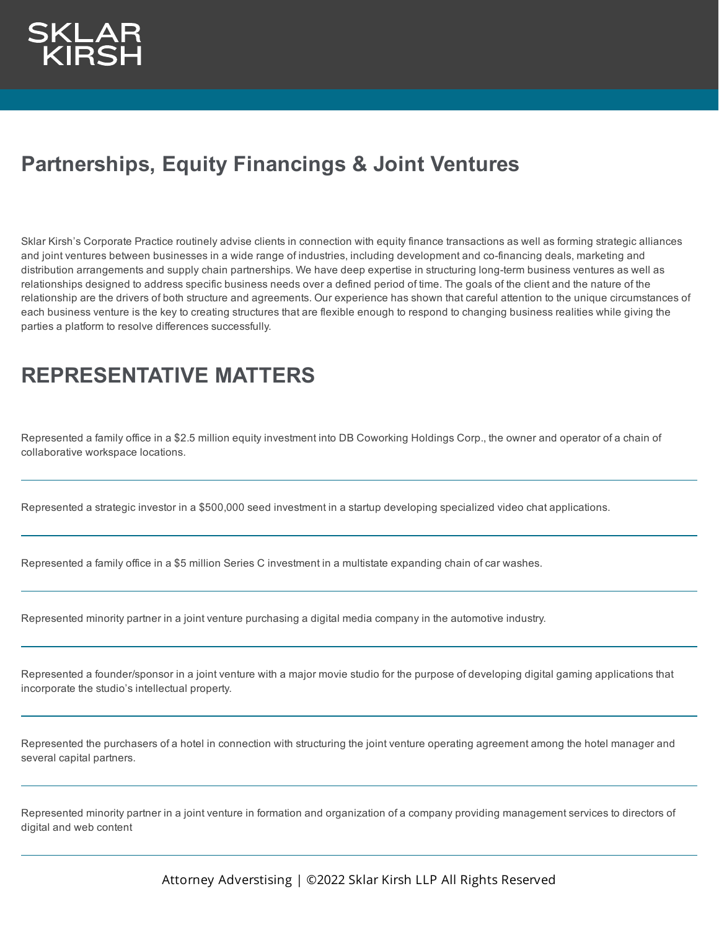## **Partnerships, Equity Financings & Joint Ventures**

Sklar Kirsh's Corporate Practice routinely advise clients in connection with equity finance transactions as well as forming strategic alliances and joint ventures between businesses in a wide range of industries, including development and co-financing deals, marketing and distribution arrangements and supply chain partnerships. We have deep expertise in structuring long-term business ventures as well as relationships designed to address specific business needs over a defined period of time. The goals of the client and the nature of the relationship are the drivers of both structure and agreements. Our experience has shown that careful attention to the unique circumstances of each business venture is the key to creating structures that are flexible enough to respond to changing business realities while giving the parties a platform to resolve differences successfully.

## **REPRESENTATIVE MATTERS**

Represented a family office in a \$2.5 million equity investment into DB Coworking Holdings Corp., the owner and operator of a chain of collaborative workspace locations.

Represented a strategic investor in a \$500,000 seed investment in a startup developing specialized video chat applications.

Represented a family office in a \$5 million Series C investment in a multistate expanding chain of car washes.

Represented minority partner in a joint venture purchasing a digital media company in the automotive industry.

Represented a founder/sponsor in a joint venture with a major movie studio for the purpose of developing digital gaming applications that incorporate the studio's intellectual property.

Represented the purchasers of a hotel in connection with structuring the joint venture operating agreement among the hotel manager and several capital partners.

Represented minority partner in a joint venture in formation and organization of a company providing management services to directors of digital and web content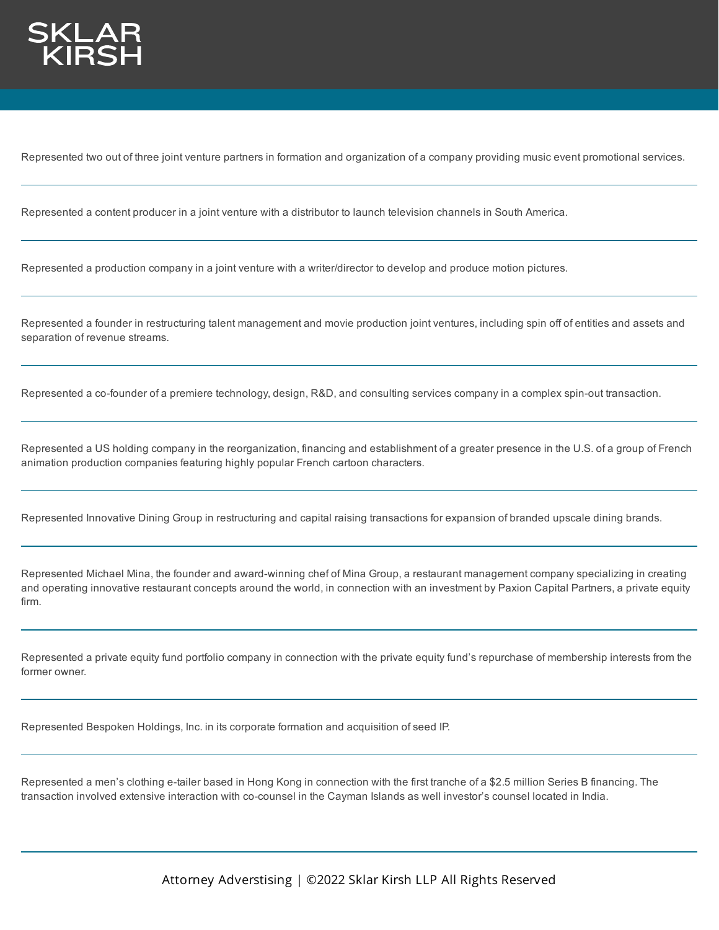

Represented two out of three joint venture partners in formation and organization of a company providing music event promotional services.

Represented a content producer in a joint venture with a distributor to launch television channels in South America.

Represented a production company in a joint venture with a writer/director to develop and produce motion pictures.

Represented a founder in restructuring talent management and movie production joint ventures, including spin off of entities and assets and separation of revenue streams.

Represented a co-founder of a premiere technology, design, R&D, and consulting services company in a complex spin-out transaction.

Represented a US holding company in the reorganization, financing and establishment of a greater presence in the U.S. of a group of French animation production companies featuring highly popular French cartoon characters.

Represented Innovative Dining Group in restructuring and capital raising transactions for expansion of branded upscale dining brands.

Represented Michael Mina, the founder and award-winning chef of Mina Group, a restaurant management company specializing in creating and operating innovative restaurant concepts around the world, in connection with an investment by Paxion Capital Partners, a private equity firm.

Represented a private equity fund portfolio company in connection with the private equity fund's repurchase of membership interests from the former owner.

Represented Bespoken Holdings, Inc. in its corporate formation and acquisition of seed IP.

Represented a men's clothing e-tailer based in Hong Kong in connection with the first tranche of a \$2.5 million Series B financing. The transaction involved extensive interaction with co-counsel in the Cayman Islands as well investor's counsel located in India.